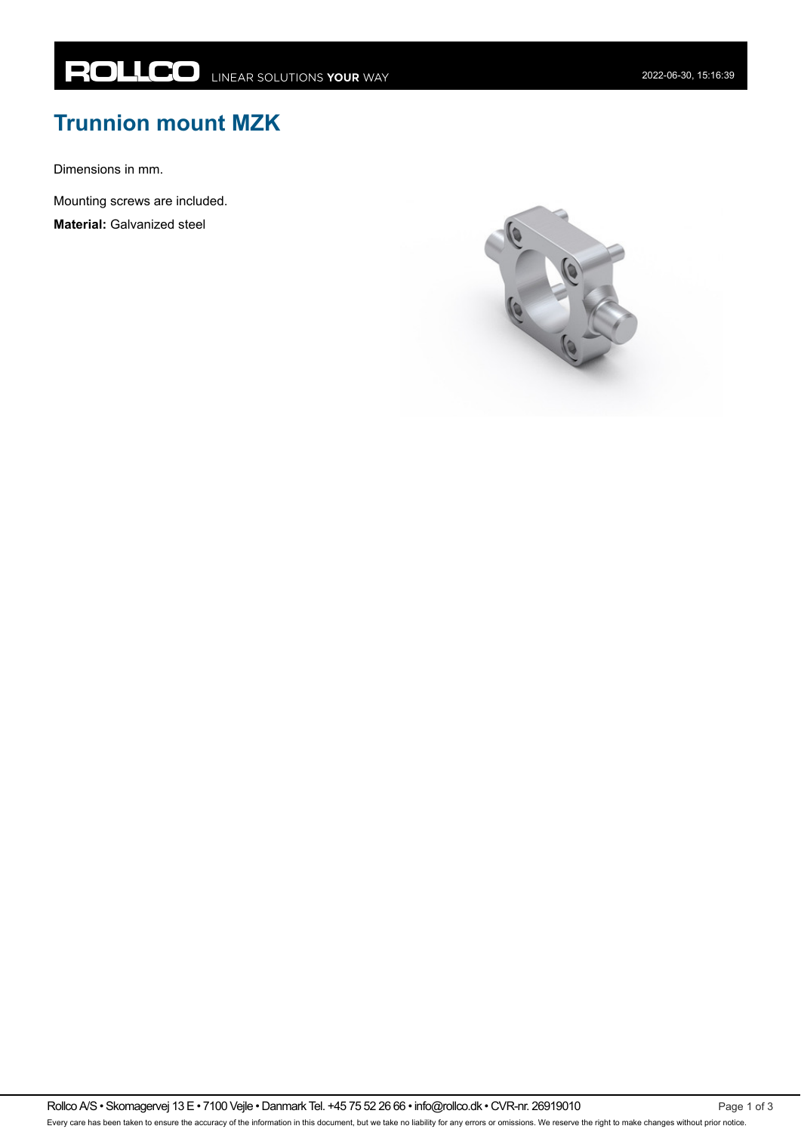## **Trunnion mount MZK**

Dimensions in mm.

Mounting screws are included.

**Material:** Galvanized steel



Rollco A/S • Skomagervej 13 E • 7100 Vejle • Danmark Tel. +45 75 52 26 66 • info@rollco.dk • CVR-nr. 26919010 Every care has been taken to ensure the accuracy of the information in this document, but we take no liability for any errors or omissions. We reserve the right to make changes without prior notice.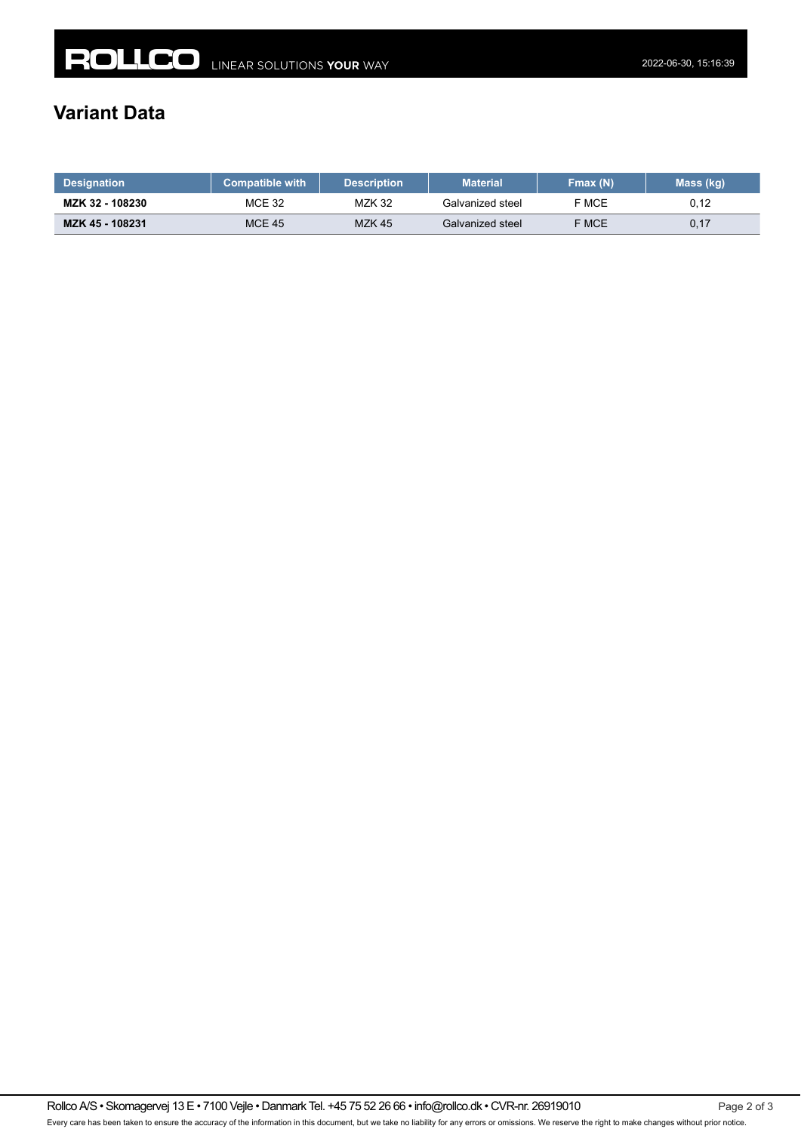## **Variant Data**

| <b>Designation</b> | <b>Compatible with</b> | <b>Description</b> | <b>Material</b>  | Fmax $(N)$ | Mass (kg) |
|--------------------|------------------------|--------------------|------------------|------------|-----------|
| MZK 32 - 108230    | <b>MCE 32</b>          | <b>MZK 32</b>      | Galvanized steel | F MCE      | U, IZ     |
| MZK 45 - 108231    | <b>MCE 45</b>          | <b>MZK 45</b>      | Galvanized steel | F MCE      | 0,17      |

Rollco A/S • Skomagervej 13 E • 7100 Vejle • Danmark Tel. +45 75 52 26 66 • info@rollco.dk • CVR-nr. 26919010 Every care has been taken to ensure the accuracy of the information in this document, but we take no liability for any errors or omissions. We reserve the right to make changes without prior notice.